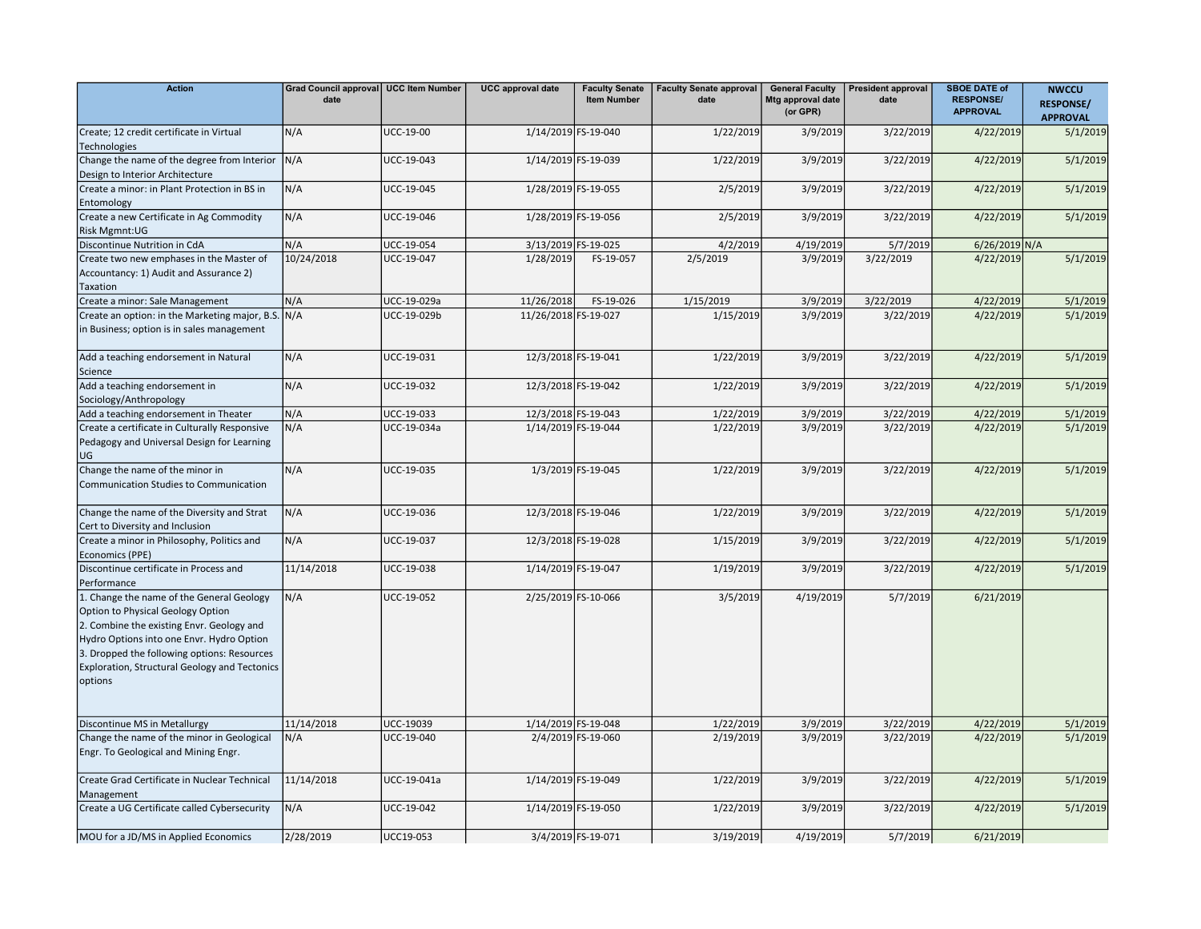| <b>Action</b>                                                                                                                                                                                                                                                                       | Grad Council approval   UCC Item Number<br>date |                  | <b>UCC</b> approval date | <b>Faculty Senate</b><br><b>Item Number</b> | <b>Faculty Senate approval</b><br>date | <b>General Faculty</b><br>Mtg approval date<br>(or GPR) | <b>President approval</b><br>date | <b>SBOE DATE of</b><br><b>RESPONSE/</b><br><b>APPROVAL</b> | <b>NWCCU</b><br><b>RESPONSE/</b><br><b>APPROVAL</b> |
|-------------------------------------------------------------------------------------------------------------------------------------------------------------------------------------------------------------------------------------------------------------------------------------|-------------------------------------------------|------------------|--------------------------|---------------------------------------------|----------------------------------------|---------------------------------------------------------|-----------------------------------|------------------------------------------------------------|-----------------------------------------------------|
| Create; 12 credit certificate in Virtual<br>Technologies                                                                                                                                                                                                                            | N/A                                             | <b>UCC-19-00</b> | 1/14/2019 FS-19-040      |                                             | 1/22/2019                              | 3/9/2019                                                | 3/22/2019                         | 4/22/2019                                                  | 5/1/2019                                            |
| Change the name of the degree from Interior<br>Design to Interior Architecture                                                                                                                                                                                                      | N/A                                             | UCC-19-043       | 1/14/2019 FS-19-039      |                                             | 1/22/2019                              | 3/9/2019                                                | 3/22/2019                         | 4/22/2019                                                  | 5/1/2019                                            |
| Create a minor: in Plant Protection in BS in<br>Entomology                                                                                                                                                                                                                          | N/A                                             | UCC-19-045       | 1/28/2019 FS-19-055      |                                             | 2/5/2019                               | 3/9/2019                                                | 3/22/2019                         | 4/22/2019                                                  | 5/1/2019                                            |
| Create a new Certificate in Ag Commodity<br>Risk Mgmnt:UG                                                                                                                                                                                                                           | N/A                                             | UCC-19-046       |                          | 1/28/2019 FS-19-056                         | 2/5/2019                               | 3/9/2019                                                | 3/22/2019                         | 4/22/2019                                                  | 5/1/2019                                            |
| Discontinue Nutrition in CdA                                                                                                                                                                                                                                                        | N/A                                             | UCC-19-054       | 3/13/2019 FS-19-025      |                                             | 4/2/2019                               | 4/19/2019                                               | 5/7/2019                          | $6/26/2019$ N/A                                            |                                                     |
| Create two new emphases in the Master of<br>Accountancy: 1) Audit and Assurance 2)<br><b>Taxation</b>                                                                                                                                                                               | 10/24/2018                                      | UCC-19-047       | 1/28/2019                | FS-19-057                                   | 2/5/2019                               | 3/9/2019                                                | 3/22/2019                         | 4/22/2019                                                  | 5/1/2019                                            |
| Create a minor: Sale Management                                                                                                                                                                                                                                                     | N/A                                             | UCC-19-029a      | 11/26/2018               | FS-19-026                                   | 1/15/2019                              | 3/9/2019                                                | 3/22/2019                         | 4/22/2019                                                  | 5/1/2019                                            |
| Create an option: in the Marketing major, B.S. N/A<br>in Business; option is in sales management                                                                                                                                                                                    |                                                 | UCC-19-029b      | 11/26/2018 FS-19-027     |                                             | 1/15/2019                              | 3/9/2019                                                | 3/22/2019                         | 4/22/2019                                                  | 5/1/2019                                            |
| Add a teaching endorsement in Natural<br>Science                                                                                                                                                                                                                                    | N/A                                             | UCC-19-031       | 12/3/2018 FS-19-041      |                                             | 1/22/2019                              | 3/9/2019                                                | 3/22/2019                         | 4/22/2019                                                  | 5/1/2019                                            |
| Add a teaching endorsement in<br>Sociology/Anthropology                                                                                                                                                                                                                             | N/A                                             | UCC-19-032       | 12/3/2018 FS-19-042      |                                             | 1/22/2019                              | 3/9/2019                                                | 3/22/2019                         | 4/22/2019                                                  | 5/1/2019                                            |
| Add a teaching endorsement in Theater                                                                                                                                                                                                                                               | N/A                                             | UCC-19-033       | 12/3/2018 FS-19-043      |                                             | 1/22/2019                              | 3/9/2019                                                | 3/22/2019                         | 4/22/2019                                                  | 5/1/2019                                            |
| Create a certificate in Culturally Responsive<br>Pedagogy and Universal Design for Learning<br>UG                                                                                                                                                                                   | N/A                                             | UCC-19-034a      | 1/14/2019 FS-19-044      |                                             | 1/22/2019                              | 3/9/2019                                                | 3/22/2019                         | 4/22/2019                                                  | 5/1/2019                                            |
| Change the name of the minor in<br>Communication Studies to Communication                                                                                                                                                                                                           | N/A                                             | UCC-19-035       |                          | 1/3/2019 FS-19-045                          | 1/22/2019                              | 3/9/2019                                                | 3/22/2019                         | 4/22/2019                                                  | 5/1/2019                                            |
| Change the name of the Diversity and Strat<br>Cert to Diversity and Inclusion                                                                                                                                                                                                       | N/A                                             | UCC-19-036       |                          | 12/3/2018 FS-19-046                         | 1/22/2019                              | 3/9/2019                                                | 3/22/2019                         | 4/22/2019                                                  | 5/1/2019                                            |
| Create a minor in Philosophy, Politics and<br>Economics (PPE)                                                                                                                                                                                                                       | N/A                                             | UCC-19-037       |                          | 12/3/2018 FS-19-028                         | 1/15/2019                              | 3/9/2019                                                | 3/22/2019                         | 4/22/2019                                                  | 5/1/2019                                            |
| Discontinue certificate in Process and<br>Performance                                                                                                                                                                                                                               | 11/14/2018                                      | UCC-19-038       | 1/14/2019 FS-19-047      |                                             | 1/19/2019                              | 3/9/2019                                                | 3/22/2019                         | 4/22/2019                                                  | 5/1/2019                                            |
| 1. Change the name of the General Geology<br>Option to Physical Geology Option<br>2. Combine the existing Envr. Geology and<br>Hydro Options into one Envr. Hydro Option<br>3. Dropped the following options: Resources<br>Exploration, Structural Geology and Tectonics<br>options | N/A                                             | UCC-19-052       | 2/25/2019 FS-10-066      |                                             | 3/5/2019                               | 4/19/2019                                               | 5/7/2019                          | 6/21/2019                                                  |                                                     |
| Discontinue MS in Metallurgy                                                                                                                                                                                                                                                        | 11/14/2018                                      | UCC-19039        | 1/14/2019 FS-19-048      |                                             | 1/22/2019                              | 3/9/2019                                                | 3/22/2019                         | 4/22/2019                                                  | 5/1/2019                                            |
| Change the name of the minor in Geological<br>Engr. To Geological and Mining Engr.                                                                                                                                                                                                  | N/A                                             | UCC-19-040       |                          | 2/4/2019 FS-19-060                          | 2/19/2019                              | 3/9/2019                                                | 3/22/2019                         | 4/22/2019                                                  | 5/1/2019                                            |
| Create Grad Certificate in Nuclear Technical<br>Management                                                                                                                                                                                                                          | 11/14/2018                                      | UCC-19-041a      | 1/14/2019 FS-19-049      |                                             | 1/22/2019                              | 3/9/2019                                                | 3/22/2019                         | 4/22/2019                                                  | 5/1/2019                                            |
| Create a UG Certificate called Cybersecurity                                                                                                                                                                                                                                        | N/A                                             | UCC-19-042       |                          | 1/14/2019 FS-19-050                         | 1/22/2019                              | 3/9/2019                                                | 3/22/2019                         | 4/22/2019                                                  | 5/1/2019                                            |
| MOU for a JD/MS in Applied Economics                                                                                                                                                                                                                                                | 2/28/2019                                       | <b>UCC19-053</b> |                          | 3/4/2019 FS-19-071                          | 3/19/2019                              | 4/19/2019                                               | 5/7/2019                          | 6/21/2019                                                  |                                                     |